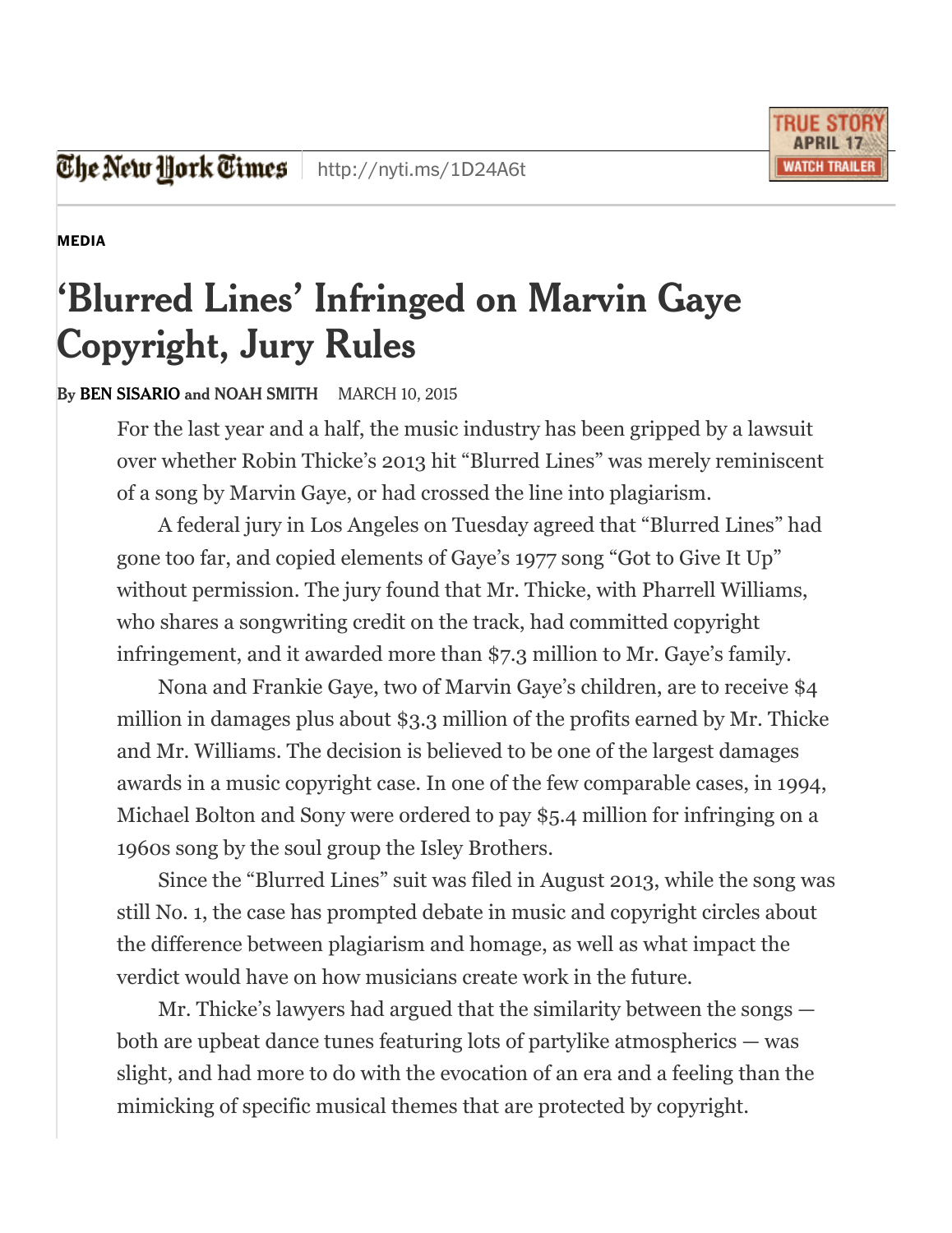

## **[MEDIA](http://www.nytimes.com/pages/business/media/index.html)**

## **'Blurred Lines' Infringed on Marvin Gaye Copyright, Jury Rules**

## **N [SISARIO](http://topics.nytimes.com/top/reference/timestopics/people/s/ben_sisario/index.html) and NOAH SMITH** MARCH 10, 2015

For the last year and a half, the music industry has been gripped by a lawsuit over whether Robin Thicke's 2013 hit "Blurred Lines" was merely reminiscent of a song by Marvin Gaye, or had crossed the line into plagiarism.

A federal jury in Los Angeles on Tuesday agreed that "Blurred Lines" had gone too far, and copied elements of Gaye's 1977 song "Got to Give It Up" without permission. The jury found that Mr. Thicke, with Pharrell Williams, who shares a songwriting credit on the track, had committed copyright infringement, and it awarded more than \$7.3 million to Mr. Gaye's family.

Nona and Frankie Gaye, two of Marvin Gaye's children, are to receive \$4 million in damages plus about \$3.3 million of the profits earned by Mr. Thicke and Mr. Williams. The decision is believed to be one of the largest damages awards in a music copyright case. In one of the few comparable cases, in 1994, Michael Bolton and Sony were ordered to pay \$5.4 million for infringing on a 1960s song by the soul group the Isley Brothers.

Since the "Blurred Lines" suit was filed in August 2013, while the song was still No. 1, the case has prompted debate in music and copyright circles about the difference between plagiarism and homage, as well as what impact the verdict would have on how musicians create work in the future.

Mr. Thicke's lawyers had argued that the similarity between the songs both are upbeat dance tunes featuring lots of partylike atmospherics — was slight, and had more to do with the evocation of an era and a feeling than the mimicking of specific musical themes that are protected by copyright.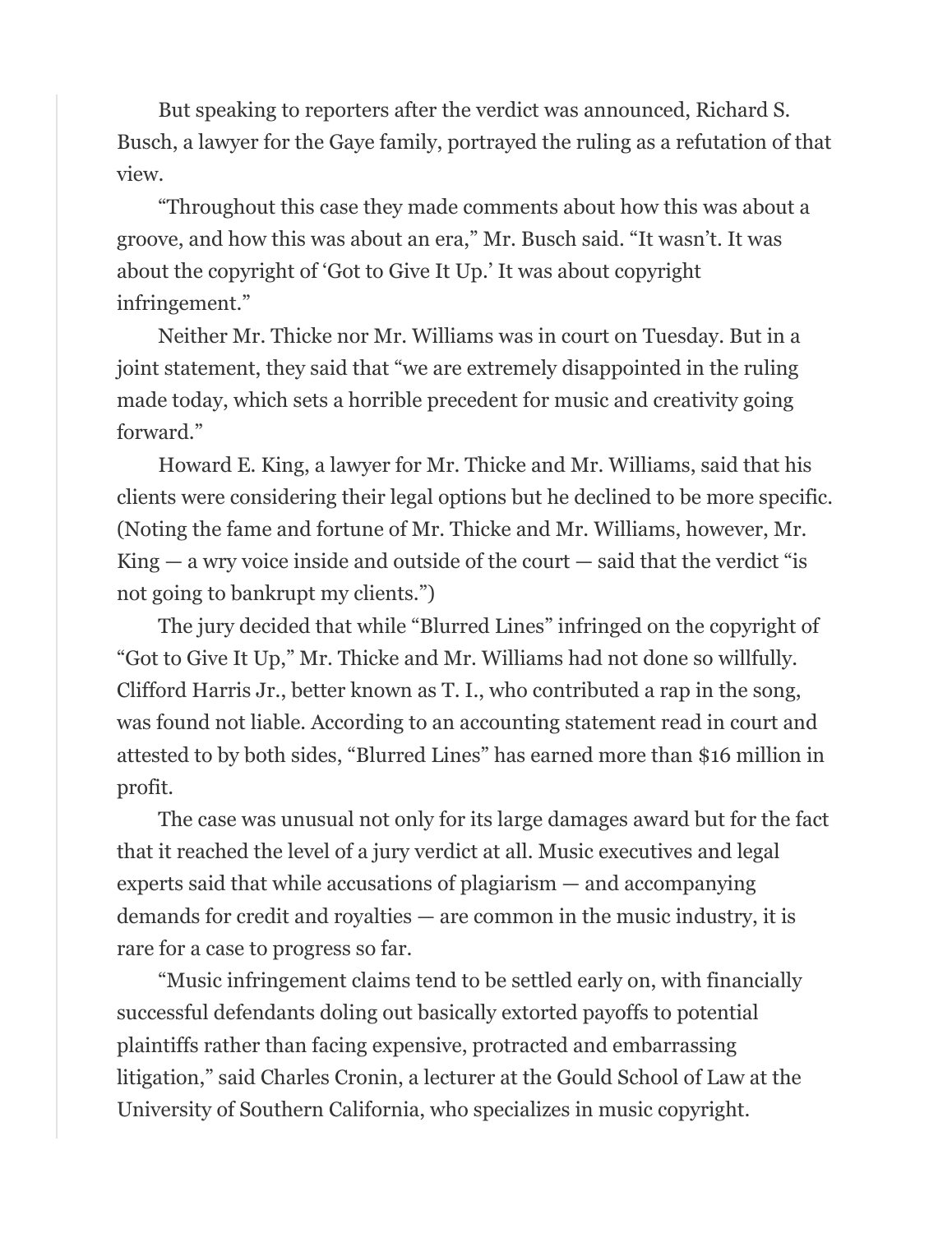But speaking to reporters after the verdict was announced, Richard S. Busch, a lawyer for the Gaye family, portrayed the ruling as a refutation of that view.

"Throughout this case they made comments about how this was about a groove, and how this was about an era," Mr. Busch said. "It wasn't. It was about the copyright of 'Got to Give It Up.' It was about copyright infringement."

Neither Mr. Thicke nor Mr. Williams was in court on Tuesday. But in a joint statement, they said that "we are extremely disappointed in the ruling made today, which sets a horrible precedent for music and creativity going forward."

Howard E. King, a lawyer for Mr. Thicke and Mr. Williams, said that his clients were considering their legal options but he declined to be more specific. (Noting the fame and fortune of Mr. Thicke and Mr. Williams, however, Mr.  $King - a wry$  voice inside and outside of the court  $-$  said that the verdict "is not going to bankrupt my clients.")

The jury decided that while "Blurred Lines" infringed on the copyright of "Got to Give It Up," Mr. Thicke and Mr. Williams had not done so willfully. Clifford Harris Jr., better known as T. I., who contributed a rap in the song, was found not liable. According to an accounting statement read in court and attested to by both sides, "Blurred Lines" has earned more than \$16 million in profit.

The case was unusual not only for its large damages award but for the fact that it reached the level of a jury verdict at all. Music executives and legal experts said that while accusations of plagiarism — and accompanying demands for credit and royalties — are common in the music industry, it is rare for a case to progress so far.

"Music infringement claims tend to be settled early on, with financially successful defendants doling out basically extorted payoffs to potential plaintiffs rather than facing expensive, protracted and embarrassing litigation," said Charles Cronin, a lecturer at the Gould School of Law at the University of Southern California, who specializes in music copyright.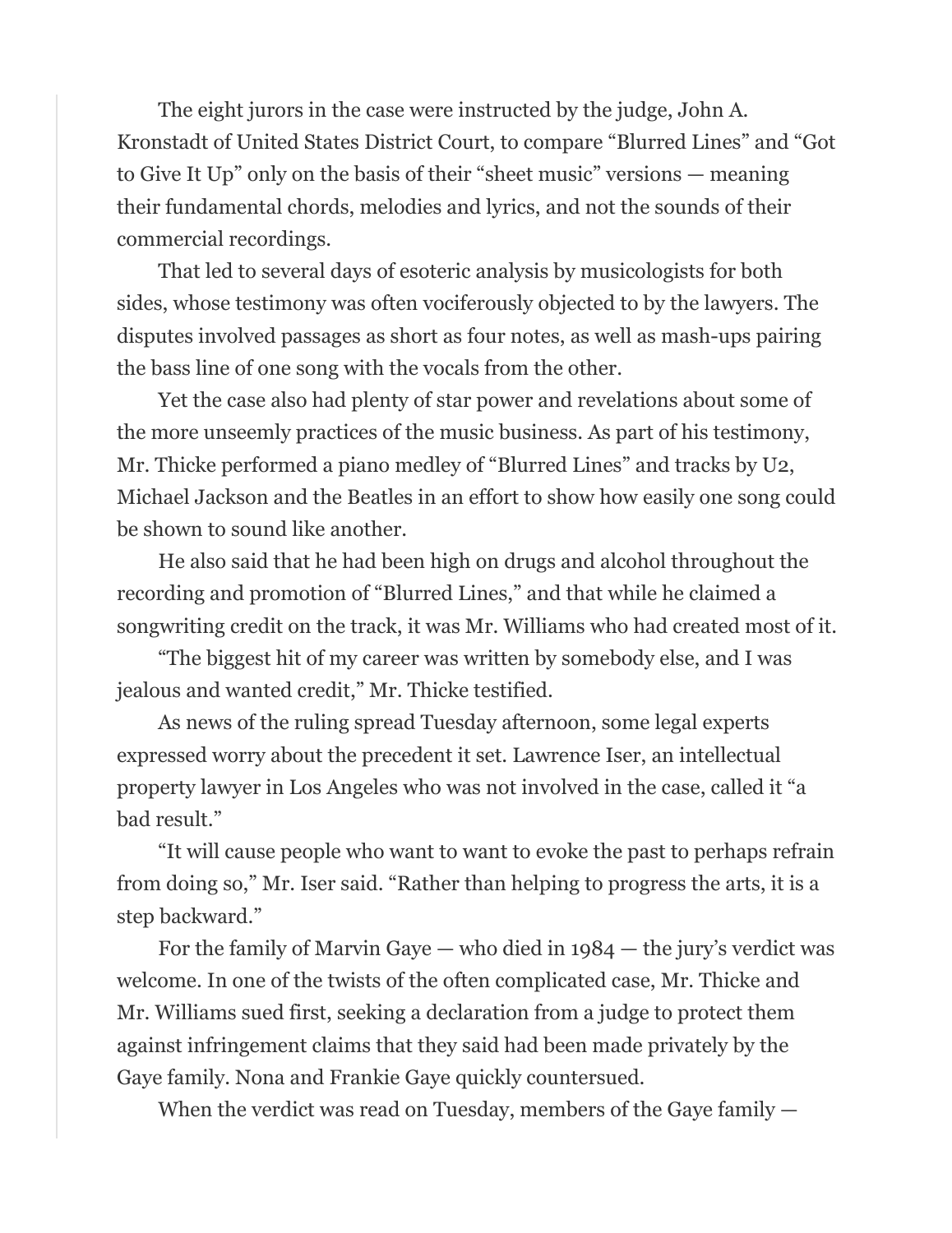The eight jurors in the case were instructed by the judge, John A. Kronstadt of United States District Court, to compare "Blurred Lines" and "Got to Give It Up" only on the basis of their "sheet music" versions — meaning their fundamental chords, melodies and lyrics, and not the sounds of their commercial recordings.

That led to several days of esoteric analysis by musicologists for both sides, whose testimony was often vociferously objected to by the lawyers. The disputes involved passages as short as four notes, as well as mash-ups pairing the bass line of one song with the vocals from the other.

Yet the case also had plenty of star power and revelations about some of the more unseemly practices of the music business. As part of his testimony, Mr. Thicke performed a piano medley of "Blurred Lines" and tracks by U2, Michael Jackson and the Beatles in an effort to show how easily one song could be shown to sound like another.

He also said that he had been high on drugs and alcohol throughout the recording and promotion of "Blurred Lines," and that while he claimed a songwriting credit on the track, it was Mr. Williams who had created most of it.

"The biggest hit of my career was written by somebody else, and I was jealous and wanted credit," Mr. Thicke testified.

As news of the ruling spread Tuesday afternoon, some legal experts expressed worry about the precedent it set. Lawrence Iser, an intellectual property lawyer in Los Angeles who was not involved in the case, called it "a bad result."

"It will cause people who want to want to evoke the past to perhaps refrain from doing so," Mr. Iser said. "Rather than helping to progress the arts, it is a step backward."

For the family of Marvin Gaye — who died in  $1984$  — the jury's verdict was welcome. In one of the twists of the often complicated case, Mr. Thicke and Mr. Williams sued first, seeking a declaration from a judge to protect them against infringement claims that they said had been made privately by the Gaye family. Nona and Frankie Gaye quickly countersued.

When the verdict was read on Tuesday, members of the Gaye family —